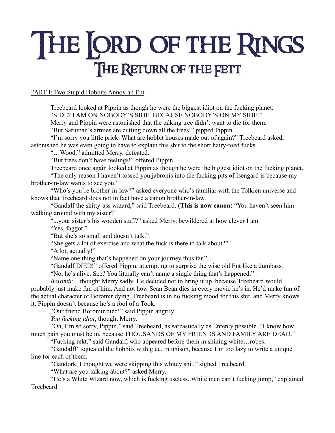# THE ORD OF THE RINGS THE RETURN OF THE FETT

# PART I: Two Stupid Hobbits Annoy an Ent

Treebeard looked at Pippin as though he were the biggest idiot on the fucking planet. "SIDE? I AM ON NOBODY'S SIDE. BECAUSE NOBODY'S ON MY SIDE."

Merry and Pippin were astonished that the talking tree didn't want to die for them.

"But Saruman's armies are cutting down all the trees!" pipped Pippin.

"I'm sorry you little prick. What are hobbit houses made out of again?" Treebeard asked, astonished he was even going to have to explain this shit to the short hairy-toed fucks.

"…Wood," admitted Merry, defeated.

"But trees don't have feelings!" offered Pippin.

Treebeard once again looked at Pippin as though he were the biggest idiot on the fucking planet.

"The only reason I haven't tossed you jabronis into the fucking pits of Isengard is because my brother-in-law wants to see you."

"Who's you're brother-in-law?" asked everyone who's familiar with the Tolkien universe and knows that Treebeard does not in fact have a canon brother-in-law.

"Gandalf the shitty-ass wizard," said Treebeard. (**This is now canon**) "You haven't seen him walking around with my sister?"

"...your sister's his wooden staff?" asked Merry, bewildered at how clever I am.

"Yes, faggot."

"But she's so small and doesn't talk."

"She gets a lot of exercise and what the fuck is there to talk about?"

"A lot, actually!"

"Name one thing that's happened on your journey thus far."

"Gandalf DIED!" offered Pippin, attempting to surprise the wise old Ent like a dumbass.

"No, he's alive. See? You literally can't name a single thing that's happened."

*Boromir*... thought Merry sadly. He decided not to bring it up, because Treebeard would probably just make fun of him. And not how Sean Bean dies in every movie he's in. He'd make fun of the actual character of Boromir dying. Treebeard is in no fucking mood for this shit, and Merry knows it. Pippin doesn't because he's a fool of a Took.

"Our friend Boromir died!" said Pippin angrily.

*You fucking idiot*, thought Merry.

"Oh, I'm so sorry, Pippin," said Treebeard, as sarcastically as Entenly possible. "I know how much pain you must be in, because THOUSANDS OF MY FRIENDS AND FAMILY ARE DEAD."

"Fucking rekt," said Gandalf, who appeared before them in shining white…robes.

"Gandalf!" squealed the hobbits with glee. In unison, because I'm too lazy to write a unique line for each of them.

"Gandork, I thought we were skipping this whitey shit," sighed Treebeard.

"What are you talking about?" asked Merry.

"He's a White Wizard now, which is fucking useless. White men can't fucking jump," explained Treebeard.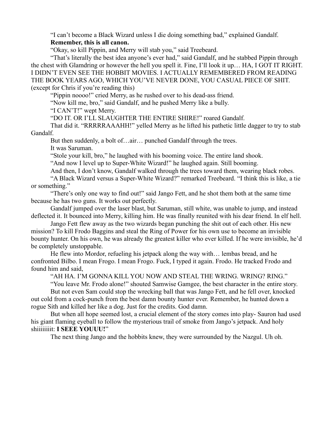"I can't become a Black Wizard unless I die doing something bad," explained Gandalf. **Remember, this is all canon.**

"Okay, so kill Pippin, and Merry will stab you," said Treebeard.

"That's literally the best idea anyone's ever had," said Gandalf, and he stabbed Pippin through the chest with Glamdring or however the hell you spell it. Fine, I'll look it up… HA, I GOT IT RIGHT. I DIDN'T EVEN SEE THE HOBBIT MOVIES. I ACTUALLY REMEMBERED FROM READING THE BOOK YEARS AGO, WHICH YOU'VE NEVER DONE, YOU CASUAL PIECE OF SHIT. (except for Chris if you're reading this)

"Pippin noooo!" cried Merry, as he rushed over to his dead-ass friend.

"Now kill me, bro," said Gandalf, and he pushed Merry like a bully.

"I CAN'T!" wept Merry.

"DO IT. OR I'LL SLAUGHTER THE ENTIRE SHIRE!" roared Gandalf.

That did it. "RRRRRAAAHH!" yelled Merry as he lifted his pathetic little dagger to try to stab Gandalf.

But then suddenly, a bolt of…air… punched Gandalf through the trees.

It was Saruman.

"Stole your kill, bro," he laughed with his booming voice. The entire land shook.

"And now I level up to Super-White Wizard!" he laughed again. Still booming.

And then, I don't know, Gandalf walked through the trees toward them, wearing black robes.

"A Black Wizard versus a Super-White Wizard?" remarked Treebeard. "I think this is like, a tie or something."

"There's only one way to find out!" said Jango Fett, and he shot them both at the same time because he has two guns. It works out perfectly.

Gandalf jumped over the laser blast, but Saruman, still white, was unable to jump, and instead deflected it. It bounced into Merry, killing him. He was finally reunited with his dear friend. In elf hell.

Jango Fett flew away as the two wizards began punching the shit out of each other. His new mission? To kill Frodo Baggins and steal the Ring of Power for his own use to become an invisible bounty hunter. On his own, he was already the greatest killer who ever killed. If he were invisible, he'd be completely unstoppable.

He flew into Mordor, refueling his jetpack along the way with… lembas bread, and he confronted Bilbo. I mean Frogo. I mean Frogo. Fuck, I typed it again. Frodo. He tracked Frodo and found him and said,

"AH HA. I'M GONNA KILL YOU NOW AND STEAL THE WRING. WRING? RING."

"You leave Mr. Frodo alone!" shouted Samwise Gamgee, the best character in the entire story.

But not even Sam could stop the wrecking ball that was Jango Fett, and he fell over, knocked out cold from a cock-punch from the best damn bounty hunter ever. Remember, he hunted down a rogue Sith and killed her like a dog. Just for the credits. God damn.

But when all hope seemed lost, a crucial element of the story comes into play- Sauron had used his giant flaming eyeball to follow the mysterious trail of smoke from Jango's jetpack. And holy shiiiiiiiit: **I SEEE YOUUU!**"

The next thing Jango and the hobbits knew, they were surrounded by the Nazgul. Uh oh.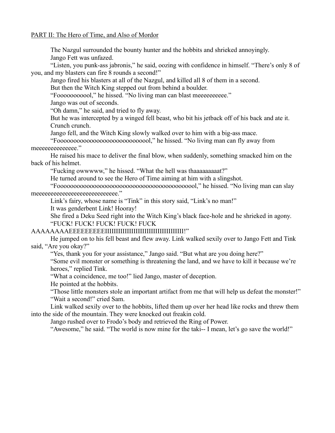### PART II: The Hero of Time, and Also of Mordor

The Nazgul surrounded the bounty hunter and the hobbits and shrieked annoyingly. Jango Fett was unfazed.

"Listen, you punk-ass jabronis," he said, oozing with confidence in himself. "There's only 8 of you, and my blasters can fire 8 rounds a second!"

Jango fired his blasters at all of the Nazgul, and killed all 8 of them in a second.

But then the Witch King stepped out from behind a boulder.

"Foooooooooooooo!," he hissed. "No living man can blast meeeeeeeeee."

Jango was out of seconds.

"Oh damn," he said, and tried to fly away.

But he was intercepted by a winged fell beast, who bit his jetback off of his back and ate it. Crunch crunch.

Jango fell, and the Witch King slowly walked over to him with a big-ass mace.

"Fooooooooooooooooooooooooooool," he hissed. "No living man can fly away from meeeeeeeeeeeeee."

He raised his mace to deliver the final blow, when suddenly, something smacked him on the back of his helmet.

"Fucking owwwww," he hissed. "What the hell was thaaaaaaaaat?"

He turned around to see the Hero of Time aiming at him with a slingshot.

"Fooooooooooooooooooooooooooooooooooooooooool," he hissed. "No living man can slay meeeeeeeeeeeeeeeeeeeeeeeeeeee."

Link's fairy, whose name is "Tink" in this story said, "Link's no man!"

It was genderbent Link! Hooray!

She fired a Deku Seed right into the Witch King's black face-hole and he shrieked in agony. "FUCK! FUCK! FUCK! FUCK! FUCK

## AAAAAAAAEEEEEEEEEIIIIIIIIIIIIIIIIIIIIIIIIIIIIIIIIIIII!"

He jumped on to his fell beast and flew away. Link walked sexily over to Jango Fett and Tink said, "Are you okay?"

"Yes, thank you for your assistance," Jango said. "But what are you doing here?"

"Some evil monster or something is threatening the land, and we have to kill it because we're heroes," replied Tink.

"What a coincidence, me too!" lied Jango, master of deception.

He pointed at the hobbits.

"Those little monsters stole an important artifact from me that will help us defeat the monster!" "Wait a second!" cried Sam.

Link walked sexily over to the hobbits, lifted them up over her head like rocks and threw them into the side of the mountain. They were knocked out freakin cold.

Jango rushed over to Frodo's body and retrieved the Ring of Power.

"Awesome," he said. "The world is now mine for the taki-- I mean, let's go save the world!"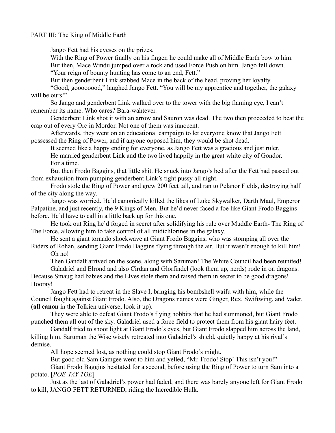## PART III: The King of Middle Earth

Jango Fett had his eyeses on the prizes.

With the Ring of Power finally on his finger, he could make all of Middle Earth bow to him. But then, Mace Windu jumped over a rock and used Force Push on him. Jango fell down.

"Your reign of bounty hunting has come to an end, Fett."

But then genderbent Link stabbed Mace in the back of the head, proving her loyalty.

"Good, goooooood," laughed Jango Fett. "You will be my apprentice and together, the galaxy will be ours!"

So Jango and genderbent Link walked over to the tower with the big flaming eye, I can't remember its name. Who cares? Bara-wahtever.

Genderbent Link shot it with an arrow and Sauron was dead. The two then proceeded to beat the crap out of every Orc in Mordor. Not one of them was innocent.

Afterwards, they went on an educational campaign to let everyone know that Jango Fett possessed the Ring of Power, and if anyone opposed him, they would be shot dead.

It seemed like a happy ending for everyone, as Jango Fett was a gracious and just ruler. He married genderbent Link and the two lived happily in the great white city of Gondor. For a time.

But then Frodo Baggins, that little shit. He snuck into Jango's bed after the Fett had passed out from exhaustion from pumping genderbent Link's tight pussy all night.

Frodo stole the Ring of Power and grew 200 feet tall, and ran to Pelanor Fields, destroying half of the city along the way.

Jango was worried. He'd canonically killed the likes of Luke Skywalker, Darth Maul, Emperor Palpatine, and just recently, the 9 Kings of Men. But he'd never faced a foe like Giant Frodo Baggins before. He'd have to call in a little back up for this one.

He took out Ring he'd forged in secret after solidifying his rule over Muddle Earth- The Ring of The Force, allowing him to take control of all midichlorines in the galaxy.

He sent a giant tornado shockwave at Giant Frodo Baggins, who was stomping all over the Riders of Rohan, sending Giant Frodo Baggins flying through the air. But it wasn't enough to kill him!

Oh no!

Then Gandalf arrived on the scene, along with Saruman! The White Council had been reunited! Galadriel and Elrond and also Cirdan and Glorfindel (look them up, nerds) rode in on dragons.

Because Smaug had babies and the Elves stole them and raised them in secret to be good dragons! Hooray!

Jango Fett had to retreat in the Slave I, bringing his bombshell waifu with him, while the Council fought against Giant Frodo. Also, the Dragons names were Ginger, Rex, Swiftwing, and Vader. (**all canon** in the Tolkien universe, look it up).

They were able to defeat Giant Frodo's flying hobbits that he had summoned, but Giant Frodo punched them all out of the sky. Galadriel used a force field to protect them from his giant hairy feet.

Gandalf tried to shoot light at Giant Frodo's eyes, but Giant Frodo slapped him across the land, killing him. Saruman the Wise wisely retreated into Galadriel's shield, quietly happy at his rival's demise.

All hope seemed lost, as nothing could stop Giant Frodo's might.

But good old Sam Gamgee went to him and yelled, "Mr. Frodo! Stop! This isn't you!"

Giant Frodo Baggins hesitated for a second, before using the Ring of Power to turn Sam into a potato. [*POE-TAY-TOE*]

Just as the last of Galadriel's power had faded, and there was barely anyone left for Giant Frodo to kill, JANGO FETT RETURNED, riding the Incredible Hulk.